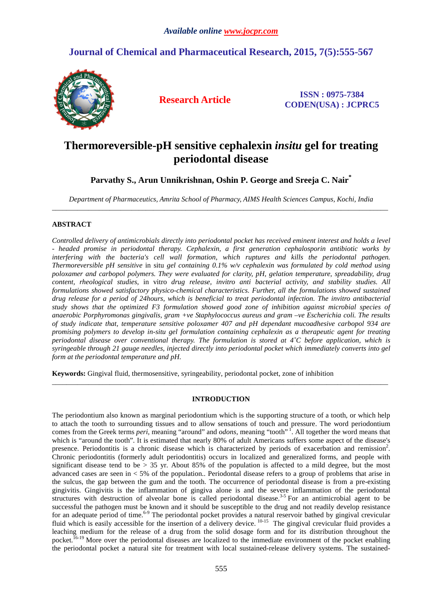## **Journal of Chemical and Pharmaceutical Research, 2015, 7(5):555-567**



**Research Article ISSN : 0975-7384 CODEN(USA) : JCPRC5**

# **Thermoreversible-pH sensitive cephalexin** *insitu* **gel for treating periodontal disease**

## **Parvathy S., Arun Unnikrishnan, Oshin P. George and Sreeja C. Nair\***

*Department of Pharmaceutics, Amrita School of Pharmacy, AIMS Health Sciences Campus, Kochi, India*  \_\_\_\_\_\_\_\_\_\_\_\_\_\_\_\_\_\_\_\_\_\_\_\_\_\_\_\_\_\_\_\_\_\_\_\_\_\_\_\_\_\_\_\_\_\_\_\_\_\_\_\_\_\_\_\_\_\_\_\_\_\_\_\_\_\_\_\_\_\_\_\_\_\_\_\_\_\_\_\_\_\_\_\_\_\_\_\_\_\_\_\_\_

## **ABSTRACT**

*Controlled delivery of antimicrobials directly into periodontal pocket has received eminent interest and holds a level - headed promise in periodontal therapy. Cephalexin, a first generation cephalosporin antibiotic works by interfering with the bacteria's cell wall formation, which ruptures and kills the periodontal pathogen. Thermoreversible pH sensitive* in situ *gel containing 0.1% w/v cephalexin was formulated by cold method using poloxamer and carbopol polymers. They were evaluated for clarity, pH, gelation temperature, spreadability, drug content, rheological studies,* in vitro *drug release, invitro anti bacterial activity, and stability studies. All formulations showed satisfactory physico-chemical characteristics. Further, all the formulations showed sustained drug release for a period of 24hours, which is beneficial to treat periodontal infection. The invitro antibacterial study shows that the optimized F3 formulation showed good zone of inhibition against microbial species of anaerobic Porphyromonas gingivalis, gram +ve Staphylococcus aureus and gram –ve Escherichia coli. The results of study indicate that, temperature sensitive poloxamer 407 and pH dependant mucoadhesive carbopol 934 are promising polymers to develop in-situ gel formulation containing cephalexin as a therapeutic agent for treating periodontal disease over conventional therapy. The formulation is stored at 4˚C before application, which is syringeable through 21 gauge needles, injected directly into periodontal pocket which immediately converts into gel form at the periodontal temperature and pH.* 

**Keywords:** Gingival fluid, thermosensitive, syringeability, periodontal pocket, zone of inhibition

## **INTRODUCTION**

\_\_\_\_\_\_\_\_\_\_\_\_\_\_\_\_\_\_\_\_\_\_\_\_\_\_\_\_\_\_\_\_\_\_\_\_\_\_\_\_\_\_\_\_\_\_\_\_\_\_\_\_\_\_\_\_\_\_\_\_\_\_\_\_\_\_\_\_\_\_\_\_\_\_\_\_\_\_\_\_\_\_\_\_\_\_\_\_\_\_\_\_\_

The periodontium also known as marginal periodontium which is the supporting structure of a tooth, or which help to attach the tooth to surrounding tissues and to allow sensations of touch and pressure. The word periodontium comes from the Greek terms *peri*, meaning "around" and *odons*, meaning "tooth"<sup>1</sup>. All together the word means that which is "around the tooth". It is estimated that nearly 80% of adult Americans suffers some aspect of the disease's presence. Periodontitis is a chronic disease which is characterized by periods of exacerbation and remission<sup>2</sup>. Chronic periodontitis (formerly adult periodontitis) occurs in localized and generalized forms, and people with significant disease tend to be  $> 35$  yr. About 85% of the population is affected to a mild degree, but the most advanced cases are seen in < 5% of the population.. Periodontal disease refers to a group of problems that arise in the sulcus, the gap between the gum and the tooth. The occurrence of periodontal disease is from a pre-existing gingivitis. Gingivitis is the inflammation of gingiva alone is and the severe inflammation of the periodontal structures with destruction of alveolar bone is called periodontal disease.<sup>3-5</sup> For an antimicrobial agent to be successful the pathogen must be known and it should be susceptible to the drug and not readily develop resistance for an adequate period of time.<sup>6-9</sup> The periodontal pocket provides a natural reservoir bathed by gingival crevicular fluid which is easily accessible for the insertion of a delivery device. <sup>10-15</sup> The gingival crevicular fluid provides a leaching medium for the release of a drug from the solid dosage form and for its distribution throughout the pocket.<sup>16-19</sup> More over the periodontal diseases are localized to the immediate environment of the pocket enabling the periodontal pocket a natural site for treatment with local sustained-release delivery systems. The sustained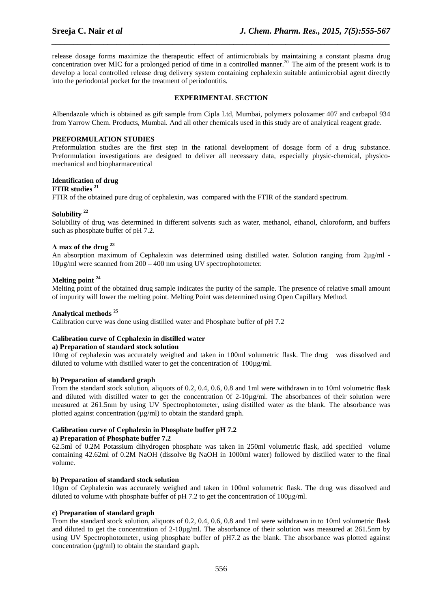release dosage forms maximize the therapeutic effect of antimicrobials by maintaining a constant plasma drug concentration over MIC for a prolonged period of time in a controlled manner.<sup>20</sup> The aim of the present work is to develop a local controlled release drug delivery system containing cephalexin suitable antimicrobial agent directly into the periodontal pocket for the treatment of periodontitis.

*\_\_\_\_\_\_\_\_\_\_\_\_\_\_\_\_\_\_\_\_\_\_\_\_\_\_\_\_\_\_\_\_\_\_\_\_\_\_\_\_\_\_\_\_\_\_\_\_\_\_\_\_\_\_\_\_\_\_\_\_\_\_\_\_\_\_\_\_\_\_\_\_\_\_\_\_\_\_*

## **EXPERIMENTAL SECTION**

Albendazole which is obtained as gift sample from Cipla Ltd, Mumbai, polymers poloxamer 407 and carbapol 934 from Yarrow Chem. Products, Mumbai. And all other chemicals used in this study are of analytical reagent grade.

## **PREFORMULATION STUDIES**

Preformulation studies are the first step in the rational development of dosage form of a drug substance. Preformulation investigations are designed to deliver all necessary data, especially physic-chemical, physicomechanical and biopharmaceutical

#### **Identification of drug**

## **FTIR studies <sup>21</sup>**

FTIR of the obtained pure drug of cephalexin, was compared with the FTIR of the standard spectrum.

## **Solubility <sup>22</sup>**

Solubility of drug was determined in different solvents such as water, methanol, ethanol, chloroform, and buffers such as phosphate buffer of pH 7.2.

## **Λ max of the drug <sup>23</sup>**

An absorption maximum of Cephalexin was determined using distilled water. Solution ranging from 2µg/ml -10µg/ml were scanned from 200 – 400 nm using UV spectrophotometer.

## **Melting point <sup>24</sup>**

Melting point of the obtained drug sample indicates the purity of the sample. The presence of relative small amount of impurity will lower the melting point. Melting Point was determined using Open Capillary Method.

#### **Analytical methods <sup>25</sup>**

Calibration curve was done using distilled water and Phosphate buffer of pH 7.2

## **Calibration curve of Cephalexin in distilled water**

### **a) Preparation of standard stock solution**

10mg of cephalexin was accurately weighed and taken in 100ml volumetric flask. The drug was dissolved and diluted to volume with distilled water to get the concentration of  $100\mu\text{g/mL}$ .

#### **b) Preparation of standard graph**

From the standard stock solution, aliquots of 0.2, 0.4, 0.6, 0.8 and 1ml were withdrawn in to 10ml volumetric flask and diluted with distilled water to get the concentration 0f 2-10µg/ml. The absorbances of their solution were measured at 261.5nm by using UV Spectrophotometer, using distilled water as the blank. The absorbance was plotted against concentration (µg/ml) to obtain the standard graph.

## **Calibration curve of Cephalexin in Phosphate buffer pH 7.2**

### **a) Preparation of Phosphate buffer 7.2**

62.5ml of 0.2M Potassium dihydrogen phosphate was taken in 250ml volumetric flask, add specified volume containing 42.62ml of 0.2M NaOH (dissolve 8g NaOH in 1000ml water) followed by distilled water to the final volume*.* 

#### **b) Preparation of standard stock solution**

10gm of Cephalexin was accurately weighed and taken in 100ml volumetric flask. The drug was dissolved and diluted to volume with phosphate buffer of pH 7.2 to get the concentration of  $100\mu$ g/ml.

#### **c) Preparation of standard graph**

From the standard stock solution, aliquots of 0.2, 0.4, 0.6, 0.8 and 1ml were withdrawn in to 10ml volumetric flask and diluted to get the concentration of 2-10µg/ml. The absorbance of their solution was measured at 261.5nm by using UV Spectrophotometer, using phosphate buffer of pH7.2 as the blank. The absorbance was plotted against concentration  $(\mu g/ml)$  to obtain the standard graph.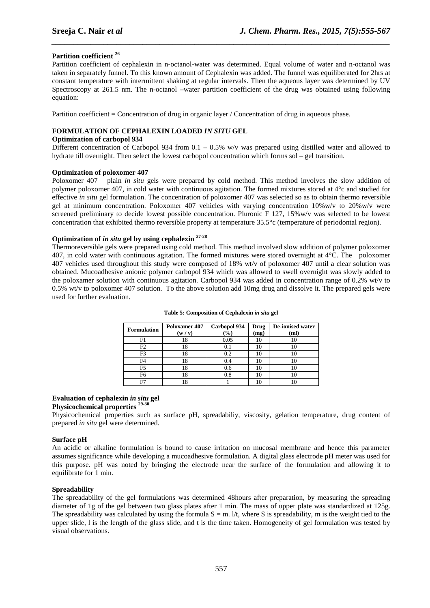## **Partition coefficient <sup>26</sup>**

Partition coefficient of cephalexin in n-octanol-water was determined. Equal volume of water and n-octanol was taken in separately funnel. To this known amount of Cephalexin was added. The funnel was equiliberated for 2hrs at constant temperature with intermittent shaking at regular intervals. Then the aqueous layer was determined by UV Spectroscopy at 261.5 nm. The n-octanol –water partition coefficient of the drug was obtained using following equation:

*\_\_\_\_\_\_\_\_\_\_\_\_\_\_\_\_\_\_\_\_\_\_\_\_\_\_\_\_\_\_\_\_\_\_\_\_\_\_\_\_\_\_\_\_\_\_\_\_\_\_\_\_\_\_\_\_\_\_\_\_\_\_\_\_\_\_\_\_\_\_\_\_\_\_\_\_\_\_*

Partition coefficient = Concentration of drug in organic layer / Concentration of drug in aqueous phase.

## **FORMULATION OF CEPHALEXIN LOADED** *IN SITU* **GEL**

#### **Optimization of carbopol 934**

Different concentration of Carbopol 934 from  $0.1 - 0.5\%$  w/v was prepared using distilled water and allowed to hydrate till overnight. Then select the lowest carbopol concentration which forms sol – gel transition.

#### **Optimization of poloxomer 407**

Poloxomer 407 plain *in situ* gels were prepared by cold method. This method involves the slow addition of polymer poloxomer 407, in cold water with continuous agitation. The formed mixtures stored at 4°c and studied for effective *in situ* gel formulation. The concentration of poloxomer 407 was selected so as to obtain thermo reversible gel at minimum concentration. Poloxomer 407 vehicles with varying concentration 10%w/v to 20%w/v were screened preliminary to decide lowest possible concentration. Pluronic F 127, 15%w/v was selected to be lowest concentration that exhibited thermo reversible property at temperature 35.5°c (temperature of periodontal region).

## **Optimization of** *in situ* **gel by using cephalexin 27-28**

Thermoreversible gels were prepared using cold method. This method involved slow addition of polymer poloxomer 407, in cold water with continuous agitation. The formed mixtures were stored overnight at 4°C. The poloxomer 407 vehicles used throughout this study were composed of 18% wt/v of poloxomer 407 until a clear solution was obtained. Mucoadhesive anionic polymer carbopol 934 which was allowed to swell overnight was slowly added to the poloxamer solution with continuous agitation. Carbopol 934 was added in concentration range of 0.2% wt/v to 0.5% wt/v to poloxomer 407 solution. To the above solution add 10mg drug and dissolve it. The prepared gels were used for further evaluation.

| <b>Formulation</b> | Poloxamer 407<br>(w/v) | Carbopol 934<br>$($ %) | Drug<br>(mg) | <b>De-ionised water</b><br>(ml) |
|--------------------|------------------------|------------------------|--------------|---------------------------------|
| F1                 | 18                     | 0.05                   | ıο           |                                 |
| F2                 | 18                     | 0.1                    | 10           |                                 |
| F3                 | 18                     | 0.2                    | 10           |                                 |
| F4                 | 18                     | 0.4                    | Ю            |                                 |
| F <sub>5</sub>     | 18                     | 0.6                    | 10           |                                 |
| F6                 | 18                     | $_{0.8}$               | IО           |                                 |
| F7                 | 18                     |                        |              |                                 |

**Table 5: Composition of Cephalexin** *in situ* **gel** 

### **Evaluation of cephalexin** *in situ* **gel Physicochemical properties 29-30**

Physicochemical properties such as surface pH, spreadabiliy, viscosity, gelation temperature, drug content of prepared *in situ* gel were determined.

#### **Surface pH**

An acidic or alkaline formulation is bound to cause irritation on mucosal membrane and hence this parameter assumes significance while developing a mucoadhesive formulation. A digital glass electrode pH meter was used for this purpose. pH was noted by bringing the electrode near the surface of the formulation and allowing it to equilibrate for 1 min.

## **Spreadability**

The spreadability of the gel formulations was determined 48hours after preparation, by measuring the spreading diameter of 1g of the gel between two glass plates after 1 min. The mass of upper plate was standardized at 125g. The spreadability was calculated by using the formula  $S = m$ . I/t, where S is spreadability, m is the weight tied to the upper slide, l is the length of the glass slide, and t is the time taken. Homogeneity of gel formulation was tested by visual observations.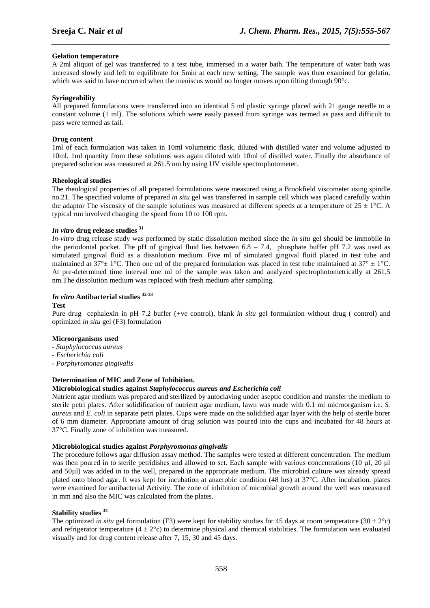## **Gelation temperature**

A 2ml aliquot of gel was transferred to a test tube, immersed in a water bath. The temperature of water bath was increased slowly and left to equilibrate for 5min at each new setting. The sample was then examined for gelatin, which was said to have occurred when the meniscus would no longer moves upon tilting through  $90^{\circ}$ c.

*\_\_\_\_\_\_\_\_\_\_\_\_\_\_\_\_\_\_\_\_\_\_\_\_\_\_\_\_\_\_\_\_\_\_\_\_\_\_\_\_\_\_\_\_\_\_\_\_\_\_\_\_\_\_\_\_\_\_\_\_\_\_\_\_\_\_\_\_\_\_\_\_\_\_\_\_\_\_*

#### **Syringeability**

All prepared formulations were transferred into an identical 5 ml plastic syringe placed with 21 gauge needle to a constant volume (1 ml). The solutions which were easily passed from syringe was termed as pass and difficult to pass were termed as fail.

#### **Drug content**

1ml of each formulation was taken in 10ml volumetric flask, diluted with distilled water and volume adjusted to 10ml. 1ml quantity from these solutions was again diluted with 10ml of distilled water. Finally the absorbance of prepared solution was measured at 261.5 nm by using UV visible spectrophotometer.

#### **Rheological studies**

The rheological properties of all prepared formulations were measured using a Brookfield viscometer using spindle no.21. The specified volume of prepared *in situ* gel was transferred in sample cell which was placed carefully within the adaptor The viscosity of the sample solutions was measured at different speeds at a temperature of  $25 \pm 1^{\circ}$ C. A typical run involved changing the speed from 10 to 100 rpm.

## *In vitro* **drug release studies <sup>31</sup>**

*In-vitro* drug release study was performed by static dissolution method since the *in situ* gel should be immobile in the periodontal pocket. The pH of gingival fluid lies between  $6.8 - 7.4$ , phosphate buffer pH 7.2 was used as simulated gingival fluid as a dissolution medium. Five ml of simulated gingival fluid placed in test tube and maintained at  $37^{\circ}$  ± 1°C. Then one ml of the prepared formulation was placed in test tube maintained at  $37^{\circ}$  ± 1°C. At pre-determined time interval one ml of the sample was taken and analyzed spectrophotometrically at 261.5 nm.The dissolution medium was replaced with fresh medium after sampling.

## *In vitro* **Antibacterial studies 32-33**

#### **Test**

Pure drug cephalexin in pH 7.2 buffer (+ve control), blank *in situ* gel formulation without drug ( control) and optimized *in situ* gel (F3) formulation

## **Microorganisms used**

- *Staphylococcus aureus*
- *Escherichia coli*
- *Porphyromonas gingivalis*

## **Determination of MIC and Zone of Inhibition.**

## **Microbiological studies against** *Staphylococcus aureus and Escherichia coli*

Nutrient agar medium was prepared and sterilized by autoclaving under aseptic condition and transfer the medium to sterile petri plates. After solidification of nutrient agar medium, lawn was made with 0.1 ml microorganism i.e. *S. aureus* and *E. coli* in separate petri plates. Cups were made on the solidified agar layer with the help of sterile borer of 6 mm diameter. Appropriate amount of drug solution was poured into the cups and incubated for 48 hours at 37°C. Finally zone of inhibition was measured.

## **Microbiological studies against** *Porphyromonas gingivalis*

The procedure follows agar diffusion assay method. The samples were tested at different concentration. The medium was then poured in to sterile petridishes and allowed to set. Each sample with various concentrations (10 µl, 20 µl and 50µl) was added in to the well, prepared in the appropriate medium. The microbial culture was already spread plated onto blood agar. It was kept for incubation at anaerobic condition (48 hrs) at 37°C. After incubation, plates were examined for antibacterial Activity. The zone of inhibition of microbial growth around the well was measured in mm and also the MIC was calculated from the plates.

## **Stability studies <sup>34</sup>**

The optimized *in situ* gel formulation (F3) were kept for stability studies for 45 days at room temperature (30  $\pm$  2°c) and refrigerator temperature  $(4 \pm 2^{\circ}c)$  to determine physical and chemical stabilities. The formulation was evaluated visually and for drug content release after 7, 15, 30 and 45 days.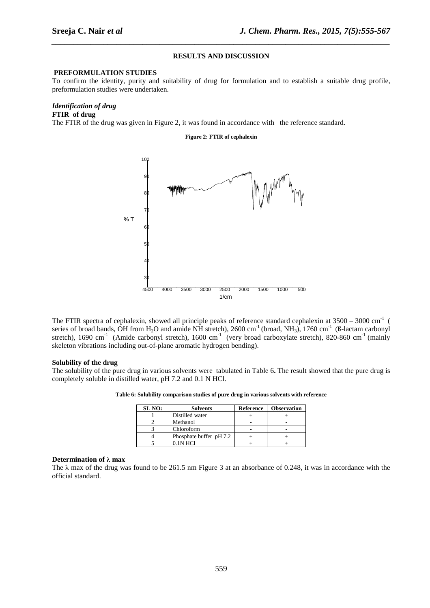## **RESULTS AND DISCUSSION**

*\_\_\_\_\_\_\_\_\_\_\_\_\_\_\_\_\_\_\_\_\_\_\_\_\_\_\_\_\_\_\_\_\_\_\_\_\_\_\_\_\_\_\_\_\_\_\_\_\_\_\_\_\_\_\_\_\_\_\_\_\_\_\_\_\_\_\_\_\_\_\_\_\_\_\_\_\_\_*

#### **PREFORMULATION STUDIES**

To confirm the identity, purity and suitability of drug for formulation and to establish a suitable drug profile, preformulation studies were undertaken.

## *Identification of drug*

**FTIR of drug** 

The FTIR of the drug was given in Figure 2, it was found in accordance with the reference standard.

**Figure 2: FTIR of cephalexin** 



The FTIR spectra of cephalexin, showed all principle peaks of reference standard cephalexin at  $3500 - 3000 \text{ cm}^{-1}$  ( series of broad bands, OH from  $H_2O$  and amide NH stretch), 2600 cm<sup>-1</sup> (broad, NH<sub>3</sub>), 1760 cm<sup>-1</sup> (ß-lactam carbonyl stretch), 1690 cm<sup>-1</sup> (Amide carbonyl stretch), 1600 cm<sup>-1</sup> (very broad carboxylate stretch), 820-860 cm<sup>-1</sup> (mainly skeleton vibrations including out-of-plane aromatic hydrogen bending).

#### **Solubility of the drug**

The solubility of the pure drug in various solvents were tabulated in Table 6**.** The result showed that the pure drug is completely soluble in distilled water, pH 7.2 and 0.1 N HCl.

|  | Table 6: Solubility comparison studies of pure drug in various solvents with reference |  |
|--|----------------------------------------------------------------------------------------|--|
|  |                                                                                        |  |

| SL NO: | <b>Solvents</b>         | <b>Reference</b> | <b>Observation</b> |
|--------|-------------------------|------------------|--------------------|
|        | Distilled water         |                  |                    |
|        | Methanol                |                  |                    |
|        | Chloroform              |                  |                    |
|        | Phosphate buffer pH 7.2 |                  |                    |
|        | $0.1N$ HCl              |                  |                    |

#### **Determination of λ max**

The  $\lambda$  max of the drug was found to be 261.5 nm Figure 3 at an absorbance of 0.248, it was in accordance with the official standard.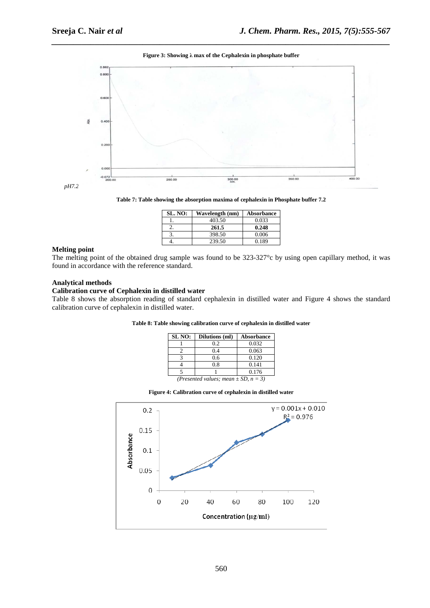

## *\_\_\_\_\_\_\_\_\_\_\_\_\_\_\_\_\_\_\_\_\_\_\_\_\_\_\_\_\_\_\_\_\_\_\_\_\_\_\_\_\_\_\_\_\_\_\_\_\_\_\_\_\_\_\_\_\_\_\_\_\_\_\_\_\_\_\_\_\_\_\_\_\_\_\_\_\_\_* **Figure 3: Showing λ max of the Cephalexin in phosphate buffer**

**Table 7: Table showing the absorption maxima of cephalexin in Phosphate buffer 7.2** 

| <b>SL. NO:</b> | Wavelength (nm) | Absorbance |
|----------------|-----------------|------------|
|                | 403.50          | 0.033      |
|                | 261.5           | 0.248      |
|                | 398.50          | 0.006      |
|                | 239.50          | 0.189      |

## **Melting point**

The melting point of the obtained drug sample was found to be 323-327°c by using open capillary method, it was found in accordance with the reference standard.

### **Analytical methods**

## **Calibration curve of Cephalexin in distilled water**

Table 8 shows the absorption reading of standard cephalexin in distilled water and Figure 4 shows the standard calibration curve of cephalexin in distilled water.

| Table 8: Table showing calibration curve of cephalexin in distilled water |  |  |
|---------------------------------------------------------------------------|--|--|
|                                                                           |  |  |

| SL NO:                                    | Dilutions (ml) | <b>Absorbance</b> |  |  |  |
|-------------------------------------------|----------------|-------------------|--|--|--|
|                                           | 0.2            | 0.032             |  |  |  |
|                                           | 0.4            | 0.063             |  |  |  |
|                                           | 0.6            | 0.120             |  |  |  |
|                                           | 0.8            | 0.141             |  |  |  |
|                                           |                | 0.176             |  |  |  |
| (Presented values; mean $\pm SD$ , n = 3) |                |                   |  |  |  |

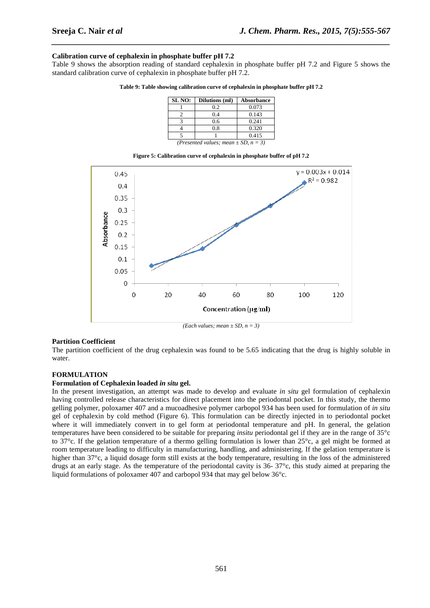## **Calibration curve of cephalexin in phosphate buffer pH 7.2**

Table 9 shows the absorption reading of standard cephalexin in phosphate buffer pH 7.2 and Figure 5 shows the standard calibration curve of cephalexin in phosphate buffer pH 7.2.

*\_\_\_\_\_\_\_\_\_\_\_\_\_\_\_\_\_\_\_\_\_\_\_\_\_\_\_\_\_\_\_\_\_\_\_\_\_\_\_\_\_\_\_\_\_\_\_\_\_\_\_\_\_\_\_\_\_\_\_\_\_\_\_\_\_\_\_\_\_\_\_\_\_\_\_\_\_\_*

|  | Table 9: Table showing calibration curve of cephalexin in phosphate buffer pH 7.2 |  |  |  |
|--|-----------------------------------------------------------------------------------|--|--|--|
|  |                                                                                   |  |  |  |

| SL NO:                                  | Dilutions (ml) | <b>Absorbance</b> |  |  |  |
|-----------------------------------------|----------------|-------------------|--|--|--|
|                                         | 0.2            | 0.073             |  |  |  |
|                                         | 0.4            | 0.143             |  |  |  |
|                                         | 0.6            | 0.241             |  |  |  |
|                                         | 0.8            | 0.320             |  |  |  |
|                                         |                | 0.415             |  |  |  |
| (Presented values: mean + SD, $n = 3$ ) |                |                   |  |  |  |

**Figure 5: Calibration curve of cephalexin in phosphate buffer of pH 7.2** 



*(Each values; mean ± SD, n = 3)* 

#### **Partition Coefficient**

The partition coefficient of the drug cephalexin was found to be 5.65 indicating that the drug is highly soluble in water.

#### **FORMULATION**

#### **Formulation of Cephalexin loaded** *in situ* **gel.**

In the present investigation, an attempt was made to develop and evaluate *in situ* gel formulation of cephalexin having controlled release characteristics for direct placement into the periodontal pocket. In this study, the thermo gelling polymer, poloxamer 407 and a mucoadhesive polymer carbopol 934 has been used for formulation of *in situ*  gel of cephalexin by cold method (Figure 6). This formulation can be directly injected in to periodontal pocket where it will immediately convert in to gel form at periodontal temperature and pH. In general, the gelation temperatures have been considered to be suitable for preparing *insitu* periodontal gel if they are in the range of 35°c to 37°c. If the gelation temperature of a thermo gelling formulation is lower than 25°c, a gel might be formed at room temperature leading to difficulty in manufacturing, handling, and administering. If the gelation temperature is higher than 37°c, a liquid dosage form still exists at the body temperature, resulting in the loss of the administered drugs at an early stage. As the temperature of the periodontal cavity is 36- 37°c, this study aimed at preparing the liquid formulations of poloxamer 407 and carbopol 934 that may gel below 36°c.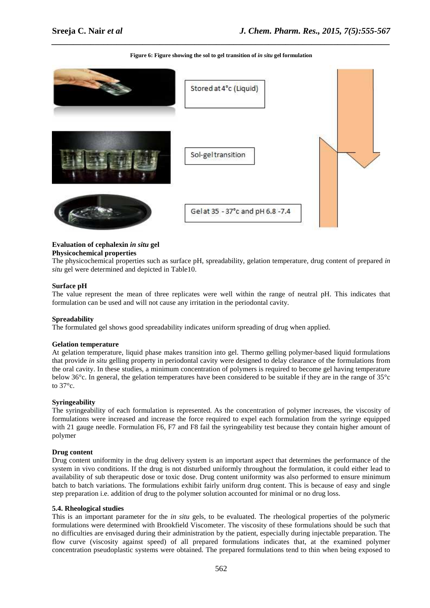

## *\_\_\_\_\_\_\_\_\_\_\_\_\_\_\_\_\_\_\_\_\_\_\_\_\_\_\_\_\_\_\_\_\_\_\_\_\_\_\_\_\_\_\_\_\_\_\_\_\_\_\_\_\_\_\_\_\_\_\_\_\_\_\_\_\_\_\_\_\_\_\_\_\_\_\_\_\_\_* **Figure 6: Figure showing the sol to gel transition of** *in situ* **gel formulation**

## **Evaluation of cephalexin** *in situ* **gel**

#### **Physicochemical properties**

The physicochemical properties such as surface pH, spreadability, gelation temperature, drug content of prepared *in situ* gel were determined and depicted in Table10.

#### **Surface pH**

The value represent the mean of three replicates were well within the range of neutral pH. This indicates that formulation can be used and will not cause any irritation in the periodontal cavity.

#### **Spreadability**

The formulated gel shows good spreadability indicates uniform spreading of drug when applied.

#### **Gelation temperature**

At gelation temperature, liquid phase makes transition into gel. Thermo gelling polymer-based liquid formulations that provide *in situ* gelling property in periodontal cavity were designed to delay clearance of the formulations from the oral cavity. In these studies, a minimum concentration of polymers is required to become gel having temperature below 36°c. In general, the gelation temperatures have been considered to be suitable if they are in the range of 35°c to  $37^\circ$ c.

#### **Syringeability**

The syringeability of each formulation is represented. As the concentration of polymer increases, the viscosity of formulations were increased and increase the force required to expel each formulation from the syringe equipped with 21 gauge needle. Formulation F6, F7 and F8 fail the syringeability test because they contain higher amount of polymer

#### **Drug content**

Drug content uniformity in the drug delivery system is an important aspect that determines the performance of the system in vivo conditions. If the drug is not disturbed uniformly throughout the formulation, it could either lead to availability of sub therapeutic dose or toxic dose. Drug content uniformity was also performed to ensure minimum batch to batch variations. The formulations exhibit fairly uniform drug content. This is because of easy and single step preparation i.e. addition of drug to the polymer solution accounted for minimal or no drug loss.

#### **5.4. Rheological studies**

This is an important parameter for the *in situ* gels, to be evaluated. The rheological properties of the polymeric formulations were determined with Brookfield Viscometer. The viscosity of these formulations should be such that no difficulties are envisaged during their administration by the patient, especially during injectable preparation. The flow curve (viscosity against speed) of all prepared formulations indicates that, at the examined polymer concentration pseudoplastic systems were obtained. The prepared formulations tend to thin when being exposed to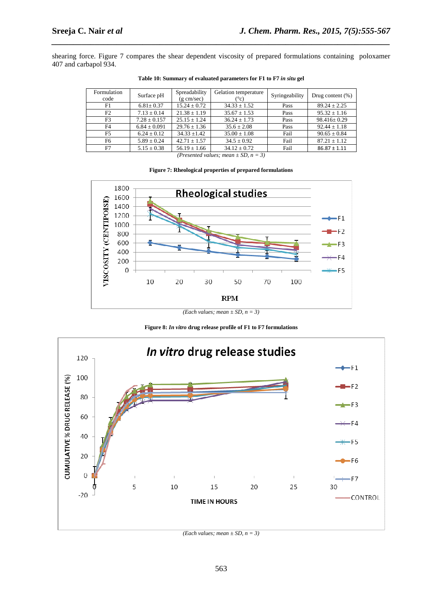shearing force. Figure 7 compares the shear dependent viscosity of prepared formulations containing poloxamer 407 and carbapol 934.

*\_\_\_\_\_\_\_\_\_\_\_\_\_\_\_\_\_\_\_\_\_\_\_\_\_\_\_\_\_\_\_\_\_\_\_\_\_\_\_\_\_\_\_\_\_\_\_\_\_\_\_\_\_\_\_\_\_\_\_\_\_\_\_\_\_\_\_\_\_\_\_\_\_\_\_\_\_\_*

| Formulation<br>code | Surface pH       | Spreadability<br>$(g \text{ cm/sec})$ | Gelation temperature<br>$(^\circ c)$ | Syringeability | Drug content $(\%)$ |
|---------------------|------------------|---------------------------------------|--------------------------------------|----------------|---------------------|
| F1                  | $6.81 \pm 0.37$  | $15.24 \pm 0.72$                      | $34.33 + 1.52$                       | Pass           | $89.24 \pm 2.25$    |
| F2                  | $7.13 \pm 0.14$  | $21.38 \pm 1.19$                      | $35.67 \pm 1.53$                     | Pass           | $95.32 \pm 1.16$    |
| F3                  | $7.28 \pm 0.157$ | $25.15 + 1.24$                        | $36.24 + 1.73$                       | Pass           | $98.416 \pm 0.29$   |
| F4                  | $6.84 \pm 0.091$ | $29.76 \pm 1.36$                      | $35.6 \pm 2.08$                      | Pass           | $92.44 \pm 1.18$    |
| F5                  | $6.24 + 0.12$    | $34.33 \pm 1.42$                      | $35.00 \pm 1.08$                     | Fail           | $90.65 \pm 0.84$    |
| F6                  | $5.89 \pm 0.24$  | $42.71 \pm 1.57$                      | $34.5 \pm 0.92$                      | Fail           | $87.21 \pm 1.12$    |
| F7                  | $5.15 \pm 0.38$  | $56.19 \pm 1.66$                      | $34.12 \pm 0.72$                     | Fail           | $86.87 \pm 1.11$    |

**Table 10: Summary of evaluated parameters for F1 to F7** *in situ* **gel** 

*(Presented values; mean ± SD, n = 3)* 

#### **Figure 7: Rheological properties of prepared formulations**



*(Each values; mean ± SD, n = 3)*

**Figure 8:** *In vitro* **drug release profile of F1 to F7 formulations** 



*<sup>(</sup>Each values; mean*  $\pm SD$ *, n* = 3*)*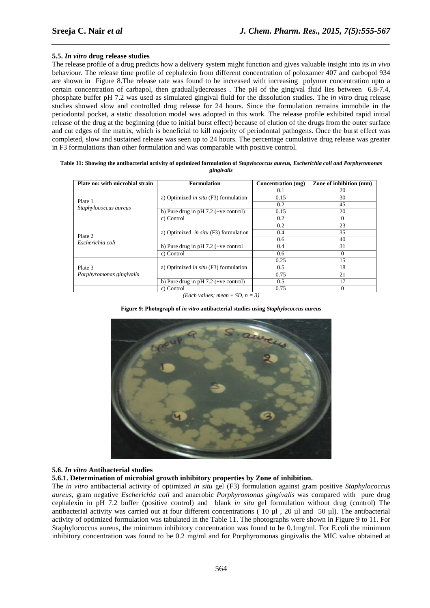## **5.5.** *In vitro* **drug release studies**

The release profile of a drug predicts how a delivery system might function and gives valuable insight into its *in vivo* behaviour. The release time profile of cephalexin from different concentration of poloxamer 407 and carbopol 934 are shown in Figure 8.The release rate was found to be increased with increasing polymer concentration upto a certain concentration of carbapol, then graduallydecreases . The pH of the gingival fluid lies between 6.8-7.4, phosphate buffer pH 7.2 was used as simulated gingival fluid for the dissolution studies. The *in vitro* drug release studies showed slow and controlled drug release for 24 hours. Since the formulation remains immobile in the periodontal pocket, a static dissolution model was adopted in this work. The release profile exhibited rapid initial release of the drug at the beginning (due to initial burst effect) because of elution of the drugs from the outer surface and cut edges of the matrix, which is beneficial to kill majority of periodontal pathogens. Once the burst effect was completed, slow and sustained release was seen up to 24 hours. The percentage cumulative drug release was greater in F3 formulations than other formulation and was comparable with positive control.

*\_\_\_\_\_\_\_\_\_\_\_\_\_\_\_\_\_\_\_\_\_\_\_\_\_\_\_\_\_\_\_\_\_\_\_\_\_\_\_\_\_\_\_\_\_\_\_\_\_\_\_\_\_\_\_\_\_\_\_\_\_\_\_\_\_\_\_\_\_\_\_\_\_\_\_\_\_\_*

| Plate no: with microbial strain | <b>Formulation</b>                             | Concentration (mg) | Zone of inhibition (mm) |
|---------------------------------|------------------------------------------------|--------------------|-------------------------|
|                                 |                                                | 0.1                | 20                      |
|                                 | a) Optimized in $situ$ (F3) formulation        | 0.15               | 30                      |
| Plate 1                         |                                                | 0.2                | 45                      |
| Staphylococcus aureus           | b) Pure drug in $pH 7.2$ (+ve control)         | 0.15               | 20                      |
|                                 | c) Control                                     | 0.2                | $\Omega$                |
|                                 |                                                | 0.2                | 23                      |
|                                 | a) Optimized <i>in situ</i> $(F3)$ formulation | 0.4                | 35                      |
| Plate 2<br>Escherichia coli     |                                                | 0.6                | 40                      |
|                                 | b) Pure drug in $pH 7.2$ (+ve control          | 0.4                | 31                      |
|                                 | c) Control                                     | 0.6                | $\Omega$                |
|                                 |                                                | 0.25               | 15                      |
| Plate 3                         | a) Optimized <i>in situ</i> $(F3)$ formulation | 0.5                | 18                      |
| Porphyromonas gingivalis        |                                                | 0.75               | 21                      |
|                                 | b) Pure drug in $pH 7.2$ (+ve control)         | $0.5^{\circ}$      | 17                      |
|                                 | c) Control                                     | 0.75               | $\Omega$                |

**Table 11: Showing the antibacterial activity of optimized formulation of** *Stapylococcus aureus, Escherichia coli and Porphyromonas gingivalis* 

*(Each values: mean*  $\pm$  *SD, n* = 3)

#### **Figure 9: Photograph of** *in vitro* **antibacterial studies using** *Staphylococcus aureus*



## **5.6.** *In vitro* **Antibacterial studies**

#### **5.6.1. Determination of microbial growth inhibitory properties by Zone of inhibition.**

The *in vitro* antibacterial activity of optimized *in situ* gel (F3) formulation against gram positive *Staphylococcus aureus*, gram negative *Escherichia coli* and anaerobic *Porphyromonas gingivalis* was compared with pure drug cephalexin in pH 7.2 buffer (positive control) and blank *in situ* gel formulation without drug (control) The antibacterial activity was carried out at four different concentrations (10 µl, 20 µl and 50 µl). The antibacterial activity of optimized formulation was tabulated in the Table 11. The photographs were shown in Figure 9 to 11. For Staphylococcus aureus, the minimum inhibitory concentration was found to be 0.1mg/ml. For E.coli the minimum inhibitory concentration was found to be 0.2 mg/ml and for Porphyromonas gingivalis the MIC value obtained at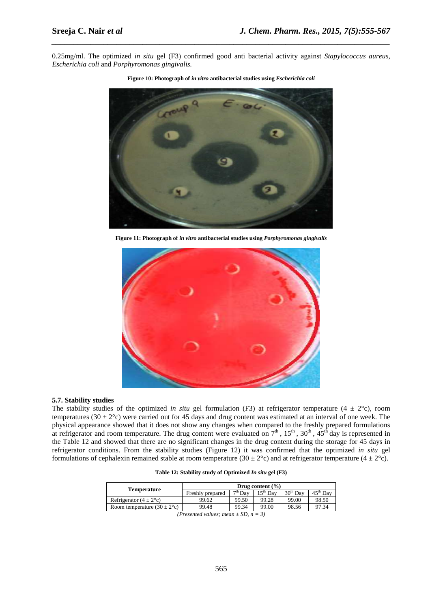0.25mg/ml. The optimized *in situ* gel (F3) confirmed good anti bacterial activity against *Stapylococcus aureus, Escherichia coli* and *Porphyromonas gingivalis.* 

*\_\_\_\_\_\_\_\_\_\_\_\_\_\_\_\_\_\_\_\_\_\_\_\_\_\_\_\_\_\_\_\_\_\_\_\_\_\_\_\_\_\_\_\_\_\_\_\_\_\_\_\_\_\_\_\_\_\_\_\_\_\_\_\_\_\_\_\_\_\_\_\_\_\_\_\_\_\_*



**Figure 10: Photograph of** *in vitro* **antibacterial studies using** *Escherichia coli* 

**Figure 11: Photograph of** *in vitro* **antibacterial studies using** *Porphyromonas gingivalis*



#### **5.7. Stability studies**

The stability studies of the optimized *in situ* gel formulation (F3) at refrigerator temperature (4  $\pm$  2°c), room temperatures (30  $\pm$  2°c) were carried out for 45 days and drug content was estimated at an interval of one week. The physical appearance showed that it does not show any changes when compared to the freshly prepared formulations at refrigerator and room temperature. The drug content were evaluated on  $7<sup>th</sup>$ ,  $15<sup>th</sup>$ ,  $30<sup>th</sup>$ ,  $45<sup>th</sup>$  day is represented in the Table 12 and showed that there are no significant changes in the drug content during the storage for 45 days in refrigerator conditions. From the stability studies (Figure 12) it was confirmed that the optimized *in situ* gel formulations of cephalexin remained stable at room temperature (30  $\pm$  2°c) and at refrigerator temperature (4  $\pm$  2°c).

**Table 12: Stability study of Optimized** *In situ* **gel (F3)** 

| Drug content $(\% )$ |       |                                             |                        |                      |
|----------------------|-------|---------------------------------------------|------------------------|----------------------|
| Freshly prepared     |       | $15^{\text{th}}$ Day                        | $30th$ Dav             | $45^{\text{th}}$ Dav |
| 99.62                | 99.50 | 99.28                                       | 99.00                  | 98.50                |
| 99.48                | 99.34 | 99.00                                       | 98.56                  | 97.34                |
|                      |       | $\sqrt{D}$ $\sqrt{I}$ $\sqrt{D}$ $\sqrt{D}$ | $\tau^{\text{th}}$ Day |                      |

*<sup>(</sup>Presented values; mean*  $\pm SD$ *, n* = 3)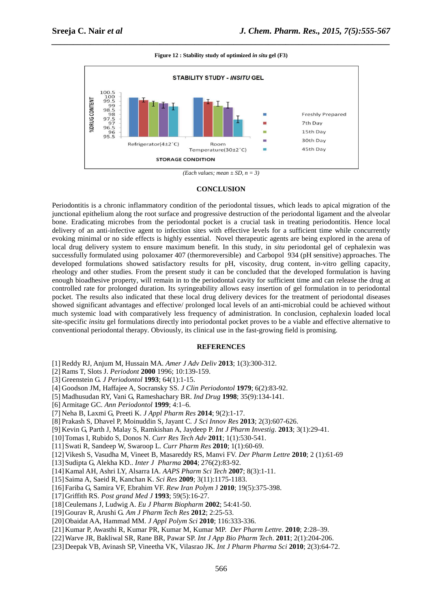*\_\_\_\_\_\_\_\_\_\_\_\_\_\_\_\_\_\_\_\_\_\_\_\_\_\_\_\_\_\_\_\_\_\_\_\_\_\_\_\_\_\_\_\_\_\_\_\_\_\_\_\_\_\_\_\_\_\_\_\_\_\_\_\_\_\_\_\_\_\_\_\_\_\_\_\_\_\_* **Figure 12 : Stability study of optimized** *in situ* **gel (F3)** 



*(Each values; mean*  $\pm SD$ ,  $n = 3$ )

#### **CONCLUSION**

Periodontitis is a chronic inflammatory condition of the periodontal tissues, which leads to apical migration of the junctional epithelium along the root surface and progressive destruction of the periodontal ligament and the alveolar bone. Eradicating microbes from the periodontal pocket is a crucial task in treating periodontitis. Hence local delivery of an anti-infective agent to infection sites with effective levels for a sufficient time while concurrently evoking minimal or no side effects is highly essential. Novel therapeutic agents are being explored in the arena of local drug delivery system to ensure maximum benefit. In this study, in *situ* periodontal gel of cephalexin was successfully formulated using poloxamer 407 (thermoreversible) and Carbopol 934 (pH sensitive) approaches. The developed formulations showed satisfactory results for pH, viscosity, drug content, in-vitro gelling capacity, rheology and other studies. From the present study it can be concluded that the developed formulation is having enough bioadhesive property, will remain in to the periodontal cavity for sufficient time and can release the drug at controlled rate for prolonged duration. Its syringeability allows easy insertion of gel formulation in to periodontal pocket. The results also indicated that these local drug delivery devices for the treatment of periodontal diseases showed significant advantages and effective/ prolonged local levels of an anti-microbial could be achieved without much systemic load with comparatively less frequency of administration. In conclusion, cephalexin loaded local site-specific *insitu* gel formulations directly into periodontal pocket proves to be a viable and effective alternative to conventional periodontal therapy. Obviously, its clinical use in the fast-growing field is promising.

#### **REFERENCES**

- [1] Reddy RJ, Anjum M, Hussain MA. *Amer J Adv Deliv* **2013**; 1(3):300-312.
- [2] Rams T, Slots J. *Periodont* **2000** 1996; 10:139-159.
- [3] Greenstein G. *J Periodontol* **1993**; 64(1):1-15.
- [4] Goodson JM, Haffajee A, Socransky SS. *J Clin Periodontol* **1979**; 6(2):83-92.
- [5] Madhusudan RY, Vani G, Rameshachary BR. *Ind Drug* **1998**; 35(9):134-141.
- [6] Armitage GC. *Ann Periodontol* **1999**; 4:1–6.
- [7] Neha B, Laxmi G, Preeti K. *J Appl Pharm Res* **2014**; 9(2):1-17.
- [8] Prakash S, Dhavel P, Moinuddin S, Jayant C*. J Sci Innov Res* **2013**; 2(3):607-626.
- [9] Kevin G, Parth J, Malay S, Ramkishan A, Jaydeep P. *Int J Pharm Investig*. **2013**; 3(1):29-41.
- [10]Tomas I, Rubido S, Donos N. *Curr Res Tech Adv* **2011**; 1(1):530-541.
- [11]Swati R, Sandeep W, Swaroop L*. Curr Pharm Res* **2010**; 1(1):60-69.
- [12]Vikesh S, Vasudha M, Vineet B, Masareddy RS, Manvi FV. *Der Pharm Lettre* **2010**; 2 (1):61-69
- [13]Sudipta G, Alekha KD.. *Inter J Pharma* **2004**; 276(2):83-92.
- [14]Kamal AH, Ashri LY, Alsarra IA. *AAPS Pharm Sci Tech* **2007**; 8(3):1-11.
- [15]Saima A, Saeid R, Kanchan K. *Sci Res* **2009**; 3(11):1175-1183.
- [16]Fariba G, Samira VF, Ebrahim VF. *Rew Iran Polym* J **2010**; 19(5):375-398.
- [17]Griffith RS. *Post grand Med J* **1993**; 59(5):16-27.
- [18]Ceulemans J, Ludwig A. *Eu J Pharm Biopharm* **2002**; 54:41-50.
- [19]Gourav R, Arushi G. *Am J Pharm Tech Res* **2012**; 2:25-53.
- [20]Obaidat AA, Hammad MM. *J Appl Polym Sci* **2010**; 116:333-336.
- [21]Kumar P, Awasthi R, Kumar PR, Kumar M, Kumar MP. *Der Pharm Lettre*. **2010**; 2:28–39.
- [22]Warve JR, Bakliwal SR, Rane BR, Pawar SP. *Int J App Bio Pharm Tech*. **2011**; 2(1):204-206.
- [23]Deepak VB, Avinash SP, Vineetha VK, Vilasrao JK*. Int J Pharm Pharma Sci* **2010**; 2(3):64-72.